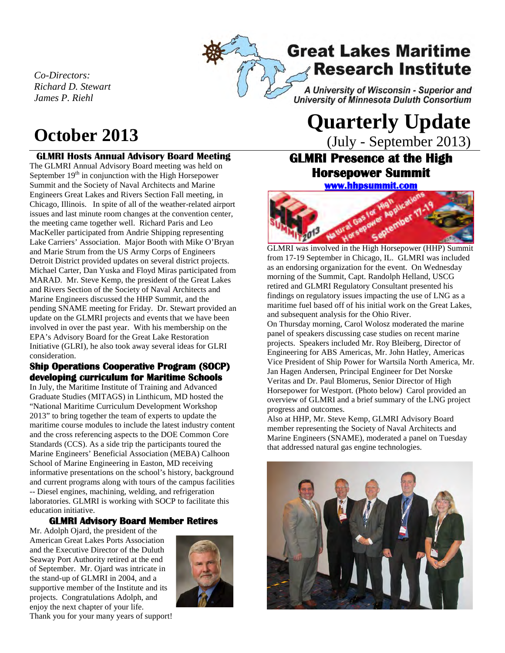*Co-Directors: Richard D. Stewart James P. Riehl*

### **GLMRI Hosts Annual Advisory Board Meeting**

The GLMRI Annual Advisory Board meeting was held on September  $19<sup>th</sup>$  in conjunction with the High Horsepower Summit and the Society of Naval Architects and Marine Engineers Great Lakes and Rivers Section Fall meeting, in Chicago, Illinois. In spite of all of the weather-related airport issues and last minute room changes at the convention center, the meeting came together well. Richard Paris and Leo MacKeller participated from Andrie Shipping representing Lake Carriers' Association. Major Booth with Mike O'Bryan and Marie Strum from the US Army Corps of Engineers Detroit District provided updates on several district projects. Michael Carter, Dan Yuska and Floyd Miras participated from MARAD. Mr. Steve Kemp, the president of the Great Lakes and Rivers Section of the Society of Naval Architects and Marine Engineers discussed the HHP Summit, and the pending SNAME meeting for Friday. Dr. Stewart provided an update on the GLMRI projects and events that we have been involved in over the past year. With his membership on the EPA's Advisory Board for the Great Lake Restoration Initiative (GLRI), he also took away several ideas for GLRI consideration.

### **Ship Operations Cooperative Program (SOCP) developing curriculum for Maritime Schools**

In July, the Maritime Institute of Training and Advanced Graduate Studies (MITAGS) in Linthicum, MD hosted the "National Maritime Curriculum Development Workshop 2013" to bring together the team of experts to update the maritime course modules to include the latest industry content and the cross referencing aspects to the DOE Common Core Standards (CCS). As a side trip the participants toured the Marine Engineers' Beneficial Association (MEBA) Calhoon School of Marine Engineering in Easton, MD receiving informative presentations on the school's history, background and current programs along with tours of the campus facilities -- Diesel engines, machining, welding, and refrigeration laboratories. GLMRI is working with SOCP to facilitate this education initiative.

### **GLMRI Advisory Board Member Retires**

Mr. Adolph Ojard, the president of the American Great Lakes Ports Association and the Executive Director of the Duluth Seaway Port Authority retired at the end of September. Mr. Ojard was intricate in the stand-up of GLMRI in 2004, and a supportive member of the Institute and its projects. Congratulations Adolph, and enjoy the next chapter of your life. Thank you for your many years of support!



A University of Wisconsin - Superior and University of Minnesota Duluth Consortium

**Research Institute** 

**Great Lakes Maritime** 

# **October <sup>2013</sup> Quarterly Update**

(July - September 2013)

## **GLMRI Presence at the High Horsepower Summit [www.hhpsummit.com](http://www.hhpsummit.com/)**



**GLMRI** was involved in the High Horsepower (HHP) Summit from 17-19 September in Chicago, IL. GLMRI was included as an endorsing organization for the event. On Wednesday morning of the Summit, Capt. Randolph Helland, USCG retired and GLMRI Regulatory Consultant presented his findings on regulatory issues impacting the use of LNG as a maritime fuel based off of his initial work on the Great Lakes, and subsequent analysis for the Ohio River.

On Thursday morning, Carol Wolosz moderated the marine panel of speakers discussing case studies on recent marine projects. Speakers included Mr. Roy Bleiberg, Director of Engineering for ABS Americas, Mr. John Hatley, Americas Vice President of Ship Power for Wartsila North America, Mr. Jan Hagen Andersen, Principal Engineer for Det Norske Veritas and Dr. Paul Blomerus, Senior Director of High Horsepower for Westport. (Photo below) Carol provided an overview of GLMRI and a brief summary of the LNG project progress and outcomes.

Also at HHP, Mr. Steve Kemp, GLMRI Advisory Board member representing the Society of Naval Architects and Marine Engineers (SNAME), moderated a panel on Tuesday that addressed natural gas engine technologies.